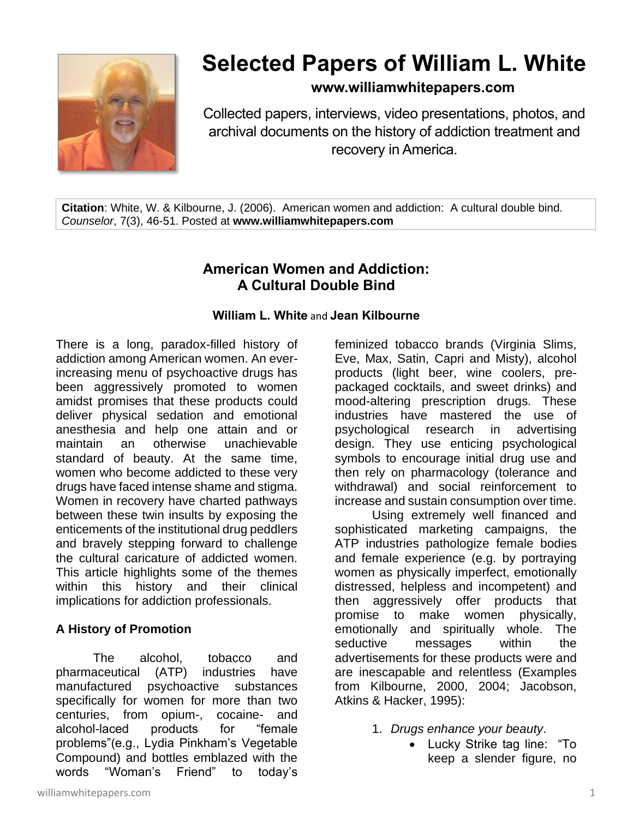

# **Selected Papers of William L. White**

# **www.williamwhitepapers.com**

Collected papers, interviews, video presentations, photos, and archival documents on the history of addiction treatment and recovery in America.

**Citation**: White, W. & Kilbourne, J. (2006). American women and addiction: A cultural double bind. *Counselor*, 7(3), 46-51. Posted at **www.williamwhitepapers.com**

# **American Women and Addiction: A Cultural Double Bind**

#### **William L. White** and **Jean Kilbourne**

There is a long, paradox-filled history of addiction among American women. An everincreasing menu of psychoactive drugs has been aggressively promoted to women amidst promises that these products could deliver physical sedation and emotional anesthesia and help one attain and or maintain an otherwise unachievable standard of beauty. At the same time, women who become addicted to these very drugs have faced intense shame and stigma. Women in recovery have charted pathways between these twin insults by exposing the enticements of the institutional drug peddlers and bravely stepping forward to challenge the cultural caricature of addicted women. This article highlights some of the themes within this history and their clinical implications for addiction professionals.

## **A History of Promotion**

The alcohol, tobacco and pharmaceutical (ATP) industries have manufactured psychoactive substances specifically for women for more than two centuries, from opium-, cocaine- and alcohol-laced products for "female problems"(e.g., Lydia Pinkham's Vegetable Compound) and bottles emblazed with the words "Woman's Friend" to today's

feminized tobacco brands (Virginia Slims, Eve, Max, Satin, Capri and Misty), alcohol products (light beer, wine coolers, prepackaged cocktails, and sweet drinks) and mood-altering prescription drugs. These industries have mastered the use of psychological research in advertising design. They use enticing psychological symbols to encourage initial drug use and then rely on pharmacology (tolerance and withdrawal) and social reinforcement to increase and sustain consumption over time.

Using extremely well financed and sophisticated marketing campaigns, the ATP industries pathologize female bodies and female experience (e.g. by portraying women as physically imperfect, emotionally distressed, helpless and incompetent) and then aggressively offer products that promise to make women physically, emotionally and spiritually whole. The seductive messages within the advertisements for these products were and are inescapable and relentless (Examples from Kilbourne, 2000, 2004; Jacobson, Atkins & Hacker, 1995):

- 1. *Drugs enhance your beauty*.
	- Lucky Strike tag line: "To keep a slender figure, no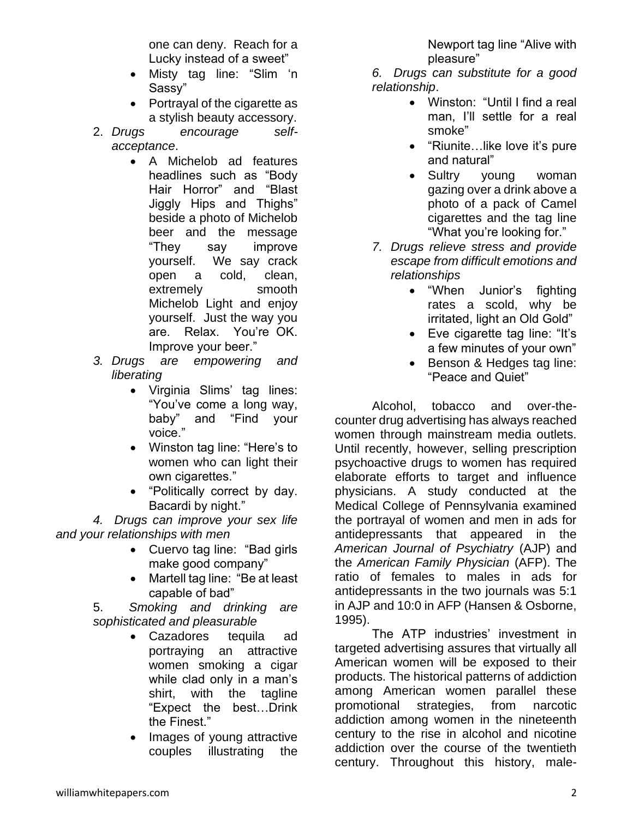one can deny. Reach for a Lucky instead of a sweet"

- Misty tag line: "Slim 'n Sassy"
- Portrayal of the cigarette as a stylish beauty accessory.
- 2. *Drugs encourage selfacceptance*.
	- A Michelob ad features headlines such as "Body Hair Horror" and "Blast Jiggly Hips and Thighs" beside a photo of Michelob beer and the message "They say improve yourself. We say crack open a cold, clean, extremely smooth Michelob Light and enjoy yourself. Just the way you are. Relax. You're OK. Improve your beer."
- *3. Drugs are empowering and liberating*
	- Virginia Slims' tag lines: "You've come a long way, baby" and "Find your voice."
	- Winston tag line: "Here's to women who can light their own cigarettes."
	- "Politically correct by day. Bacardi by night."

*4. Drugs can improve your sex life and your relationships with men*

- Cuervo tag line: "Bad girls make good company"
- Martell tag line: "Be at least capable of bad"

5. *Smoking and drinking are sophisticated and pleasurable*

- Cazadores tequila ad portraying an attractive women smoking a cigar while clad only in a man's shirt, with the tagline "Expect the best…Drink the Finest."
- Images of young attractive couples illustrating the

Newport tag line "Alive with pleasure"

*6. Drugs can substitute for a good relationship*.

- Winston: "Until I find a real man, I'll settle for a real smoke"
- "Riunite... like love it's pure and natural"
- Sultry young woman gazing over a drink above a photo of a pack of Camel cigarettes and the tag line "What you're looking for."
- *7. Drugs relieve stress and provide escape from difficult emotions and relationships*
	- "When Junior's fighting rates a scold, why be irritated, light an Old Gold"
	- Eve cigarette tag line: "It's a few minutes of your own"
	- Benson & Hedges tag line: "Peace and Quiet"

Alcohol, tobacco and over-thecounter drug advertising has always reached women through mainstream media outlets. Until recently, however, selling prescription psychoactive drugs to women has required elaborate efforts to target and influence physicians. A study conducted at the Medical College of Pennsylvania examined the portrayal of women and men in ads for antidepressants that appeared in the *American Journal of Psychiatry* (AJP) and the *American Family Physician* (AFP). The ratio of females to males in ads for antidepressants in the two journals was 5:1 in AJP and 10:0 in AFP (Hansen & Osborne, 1995).

The ATP industries' investment in targeted advertising assures that virtually all American women will be exposed to their products. The historical patterns of addiction among American women parallel these promotional strategies, from narcotic addiction among women in the nineteenth century to the rise in alcohol and nicotine addiction over the course of the twentieth century. Throughout this history, male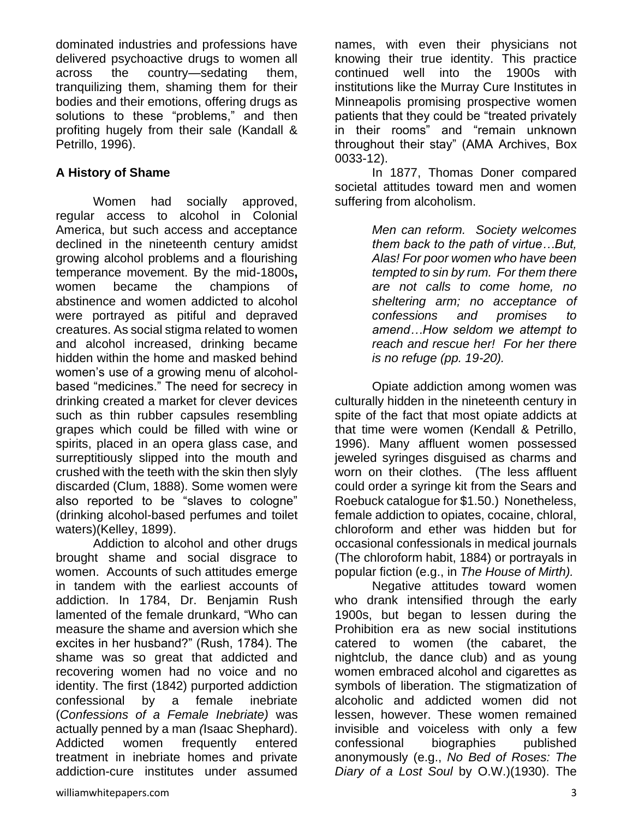dominated industries and professions have delivered psychoactive drugs to women all across the country—sedating them, tranquilizing them, shaming them for their bodies and their emotions, offering drugs as solutions to these "problems," and then profiting hugely from their sale (Kandall & Petrillo, 1996).

#### **A History of Shame**

Women had socially approved, regular access to alcohol in Colonial America, but such access and acceptance declined in the nineteenth century amidst growing alcohol problems and a flourishing temperance movement. By the mid-1800s**,** women became the champions of abstinence and women addicted to alcohol were portrayed as pitiful and depraved creatures. As social stigma related to women and alcohol increased, drinking became hidden within the home and masked behind women's use of a growing menu of alcoholbased "medicines." The need for secrecy in drinking created a market for clever devices such as thin rubber capsules resembling grapes which could be filled with wine or spirits, placed in an opera glass case, and surreptitiously slipped into the mouth and crushed with the teeth with the skin then slyly discarded (Clum, 1888). Some women were also reported to be "slaves to cologne" (drinking alcohol-based perfumes and toilet waters)(Kelley, 1899).

Addiction to alcohol and other drugs brought shame and social disgrace to women. Accounts of such attitudes emerge in tandem with the earliest accounts of addiction. In 1784, Dr. Benjamin Rush lamented of the female drunkard, "Who can measure the shame and aversion which she excites in her husband?" (Rush, 1784). The shame was so great that addicted and recovering women had no voice and no identity. The first (1842) purported addiction confessional by a female inebriate (*Confessions of a Female Inebriate)* was actually penned by a man *(*Isaac Shephard). Addicted women frequently entered treatment in inebriate homes and private addiction-cure institutes under assumed names, with even their physicians not knowing their true identity. This practice continued well into the 1900s with institutions like the Murray Cure Institutes in Minneapolis promising prospective women patients that they could be "treated privately in their rooms" and "remain unknown throughout their stay" (AMA Archives, Box 0033-12).

In 1877, Thomas Doner compared societal attitudes toward men and women suffering from alcoholism.

> *Men can reform. Society welcomes them back to the path of virtue…But, Alas! For poor women who have been tempted to sin by rum. For them there are not calls to come home, no sheltering arm; no acceptance of confessions and promises to amend…How seldom we attempt to reach and rescue her! For her there is no refuge (pp. 19-20).*

Opiate addiction among women was culturally hidden in the nineteenth century in spite of the fact that most opiate addicts at that time were women (Kendall & Petrillo, 1996). Many affluent women possessed jeweled syringes disguised as charms and worn on their clothes. (The less affluent could order a syringe kit from the Sears and Roebuck catalogue for \$1.50.) Nonetheless, female addiction to opiates, cocaine, chloral, chloroform and ether was hidden but for occasional confessionals in medical journals (The chloroform habit, 1884) or portrayals in popular fiction (e.g., in *The House of Mirth).* 

Negative attitudes toward women who drank intensified through the early 1900s, but began to lessen during the Prohibition era as new social institutions catered to women (the cabaret, the nightclub, the dance club) and as young women embraced alcohol and cigarettes as symbols of liberation. The stigmatization of alcoholic and addicted women did not lessen, however. These women remained invisible and voiceless with only a few confessional biographies published anonymously (e.g., *No Bed of Roses: The Diary of a Lost Soul* by O.W.)(1930). The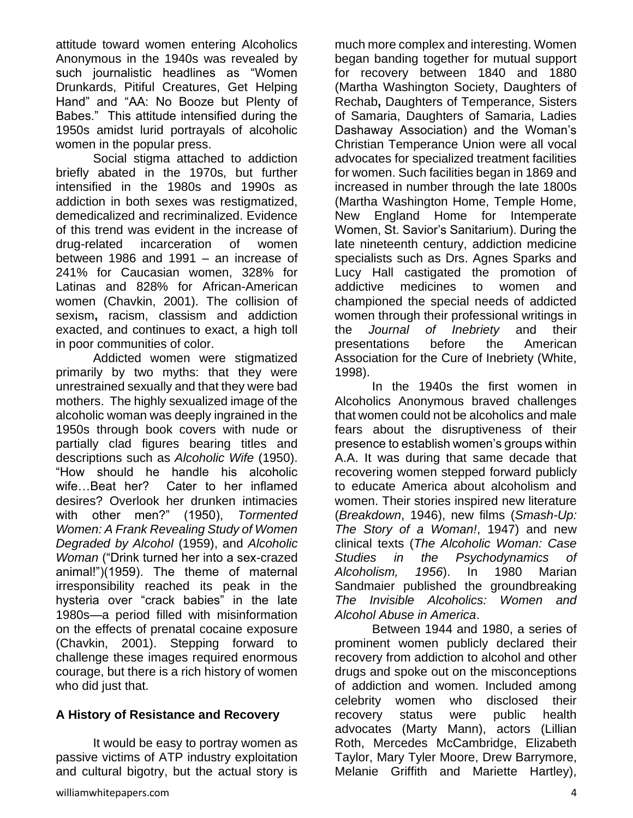attitude toward women entering Alcoholics Anonymous in the 1940s was revealed by such journalistic headlines as "Women Drunkards, Pitiful Creatures, Get Helping Hand" and "AA: No Booze but Plenty of Babes." This attitude intensified during the 1950s amidst lurid portrayals of alcoholic women in the popular press.

Social stigma attached to addiction briefly abated in the 1970s, but further intensified in the 1980s and 1990s as addiction in both sexes was restigmatized, demedicalized and recriminalized. Evidence of this trend was evident in the increase of drug-related incarceration of women between 1986 and 1991 – an increase of 241% for Caucasian women, 328% for Latinas and 828% for African-American women (Chavkin, 2001). The collision of sexism**,** racism, classism and addiction exacted, and continues to exact, a high toll in poor communities of color.

Addicted women were stigmatized primarily by two myths: that they were unrestrained sexually and that they were bad mothers. The highly sexualized image of the alcoholic woman was deeply ingrained in the 1950s through book covers with nude or partially clad figures bearing titles and descriptions such as *Alcoholic Wife* (1950). "How should he handle his alcoholic wife…Beat her? Cater to her inflamed desires? Overlook her drunken intimacies with other men?" (1950), *Tormented Women: A Frank Revealing Study of Women Degraded by Alcohol* (1959), and *Alcoholic Woman* ("Drink turned her into a sex-crazed animal!")(1959). The theme of maternal irresponsibility reached its peak in the hysteria over "crack babies" in the late 1980s—a period filled with misinformation on the effects of prenatal cocaine exposure (Chavkin, 2001). Stepping forward to challenge these images required enormous courage, but there is a rich history of women who did just that.

## **A History of Resistance and Recovery**

It would be easy to portray women as passive victims of ATP industry exploitation and cultural bigotry, but the actual story is

much more complex and interesting. Women began banding together for mutual support for recovery between 1840 and 1880 (Martha Washington Society, Daughters of Rechab**,** Daughters of Temperance, Sisters of Samaria, Daughters of Samaria, Ladies Dashaway Association) and the Woman's Christian Temperance Union were all vocal advocates for specialized treatment facilities for women. Such facilities began in 1869 and increased in number through the late 1800s (Martha Washington Home, Temple Home, New England Home for Intemperate Women, St. Savior's Sanitarium). During the late nineteenth century, addiction medicine specialists such as Drs. Agnes Sparks and Lucy Hall castigated the promotion of addictive medicines to women and championed the special needs of addicted women through their professional writings in the *Journal of Inebriety* and their presentations before the American Association for the Cure of Inebriety (White, 1998).

In the 1940s the first women in Alcoholics Anonymous braved challenges that women could not be alcoholics and male fears about the disruptiveness of their presence to establish women's groups within A.A. It was during that same decade that recovering women stepped forward publicly to educate America about alcoholism and women. Their stories inspired new literature (*Breakdown*, 1946), new films (*Smash-Up: The Story of a Woman!*, 1947) and new clinical texts (*The Alcoholic Woman: Case Studies in the Psychodynamics of Alcoholism, 1956*). In 1980 Marian Sandmaier published the groundbreaking *The Invisible Alcoholics: Women and Alcohol Abuse in America*.

Between 1944 and 1980, a series of prominent women publicly declared their recovery from addiction to alcohol and other drugs and spoke out on the misconceptions of addiction and women. Included among celebrity women who disclosed their recovery status were public health advocates (Marty Mann), actors (Lillian Roth, Mercedes McCambridge, Elizabeth Taylor, Mary Tyler Moore, Drew Barrymore, Melanie Griffith and Mariette Hartley),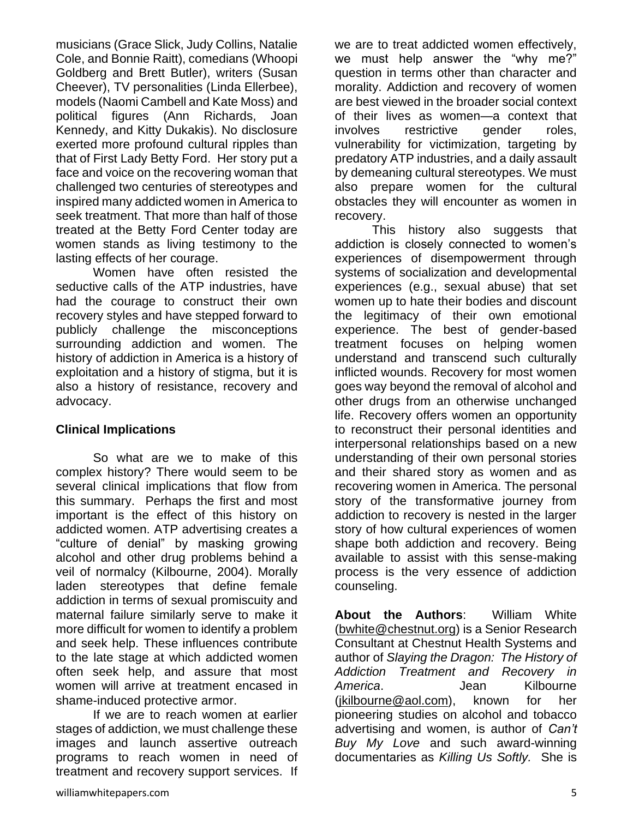musicians (Grace Slick, Judy Collins, Natalie Cole, and Bonnie Raitt), comedians (Whoopi Goldberg and Brett Butler), writers (Susan Cheever), TV personalities (Linda Ellerbee), models (Naomi Cambell and Kate Moss) and political figures (Ann Richards, Joan Kennedy, and Kitty Dukakis). No disclosure exerted more profound cultural ripples than that of First Lady Betty Ford. Her story put a face and voice on the recovering woman that challenged two centuries of stereotypes and inspired many addicted women in America to seek treatment. That more than half of those treated at the Betty Ford Center today are women stands as living testimony to the lasting effects of her courage.

Women have often resisted the seductive calls of the ATP industries, have had the courage to construct their own recovery styles and have stepped forward to publicly challenge the misconceptions surrounding addiction and women. The history of addiction in America is a history of exploitation and a history of stigma, but it is also a history of resistance, recovery and advocacy.

#### **Clinical Implications**

So what are we to make of this complex history? There would seem to be several clinical implications that flow from this summary. Perhaps the first and most important is the effect of this history on addicted women. ATP advertising creates a "culture of denial" by masking growing alcohol and other drug problems behind a veil of normalcy (Kilbourne, 2004). Morally laden stereotypes that define female addiction in terms of sexual promiscuity and maternal failure similarly serve to make it more difficult for women to identify a problem and seek help. These influences contribute to the late stage at which addicted women often seek help, and assure that most women will arrive at treatment encased in shame-induced protective armor.

If we are to reach women at earlier stages of addiction, we must challenge these images and launch assertive outreach programs to reach women in need of treatment and recovery support services. If

we are to treat addicted women effectively, we must help answer the "why me?" question in terms other than character and morality. Addiction and recovery of women are best viewed in the broader social context of their lives as women—a context that involves restrictive gender roles, vulnerability for victimization, targeting by predatory ATP industries, and a daily assault by demeaning cultural stereotypes. We must also prepare women for the cultural obstacles they will encounter as women in recovery.

This history also suggests that addiction is closely connected to women's experiences of disempowerment through systems of socialization and developmental experiences (e.g., sexual abuse) that set women up to hate their bodies and discount the legitimacy of their own emotional experience. The best of gender-based treatment focuses on helping women understand and transcend such culturally inflicted wounds. Recovery for most women goes way beyond the removal of alcohol and other drugs from an otherwise unchanged life. Recovery offers women an opportunity to reconstruct their personal identities and interpersonal relationships based on a new understanding of their own personal stories and their shared story as women and as recovering women in America. The personal story of the transformative journey from addiction to recovery is nested in the larger story of how cultural experiences of women shape both addiction and recovery. Being available to assist with this sense-making process is the very essence of addiction counseling.

**About the Authors**: William White [\(bwhite@chestnut.org\)](mailto:bwhite@chestnut.org) is a Senior Research Consultant at Chestnut Health Systems and author of *Slaying the Dragon: The History of Addiction Treatment and Recovery in America*. Jean Kilbourne [\(jkilbourne@aol.com\)](mailto:jkilbourne@aol.com), known for her pioneering studies on alcohol and tobacco advertising and women, is author of *Can't Buy My Love* and such award-winning documentaries as *Killing Us Softly.* She is